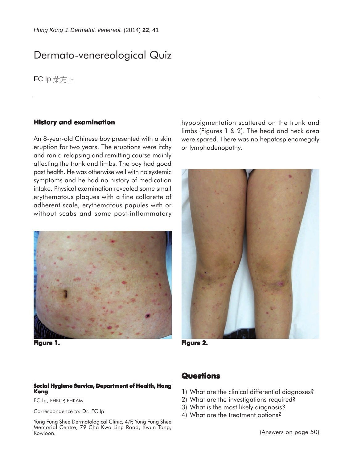# Dermato-venereological Quiz

FC Ip 葉方正

#### **History and examination**

An 8-year-old Chinese boy presented with a skin eruption for two years. The eruptions were itchy and ran a relapsing and remitting course mainly affecting the trunk and limbs. The boy had good past health. He was otherwise well with no systemic symptoms and he had no history of medication intake. Physical examination revealed some small erythematous plaques with a fine collarette of adherent scale, erythematous papules with or without scabs and some post-inflammatory



**Figure 1. Figure 2. 2.**

#### **Social Hygiene Service, Department of Health, Hong Kong**

FC Ip, FHKCP, FHKAM

Correspondence to: Dr. FC Ip

Yung Fung Shee Dermatological Clinic, 4/F, Yung Fung Shee Memorial Centre, 79 Cha Kwo Ling Road, Kwun Tong, Kowloon.

hypopigmentation scattered on the trunk and limbs (Figures 1 & 2). The head and neck area were spared. There was no hepatosplenomegaly or lymphadenopathy.



## **Questions**

- 1) What are the clinical differential diagnoses?
- 2) What are the investigations required?
- 3) What is the most likely diagnosis?
- 4) What are the treatment options?